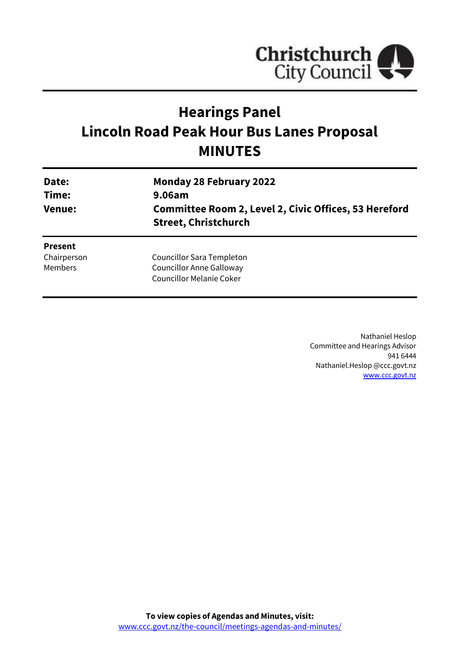

# **Hearings Panel Lincoln Road Peak Hour Bus Lanes Proposal MINUTES**

| Date:<br>Time:<br><b>Venue:</b> | <b>Monday 28 February 2022</b><br>9.06am<br>Committee Room 2, Level 2, Civic Offices, 53 Hereford<br><b>Street, Christchurch</b> |
|---------------------------------|----------------------------------------------------------------------------------------------------------------------------------|
| <b>Present</b>                  | Councillor Sara Templeton                                                                                                        |
| Chairperson                     | <b>Councillor Anne Galloway</b>                                                                                                  |
| <b>Members</b>                  | <b>Councillor Melanie Coker</b>                                                                                                  |

Nathaniel Heslop Committee and Hearings Advisor 941 6444 Nathaniel.Heslop @ccc.govt.nz [www.ccc.govt.nz](http://www.ccc.govt.nz/)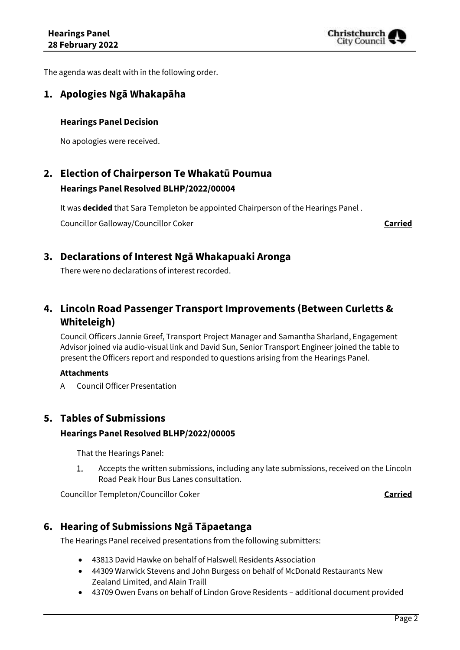

The agenda was dealt with in the following order.

# **1. Apologies Ngā Whakapāha**

### **Hearings Panel Decision**

No apologies were received.

# **2. Election of Chairperson Te Whakatū Poumua Hearings Panel Resolved BLHP/2022/00004**

It was **decided** that Sara Templeton be appointed Chairperson of the Hearings Panel .

Councillor Galloway/Councillor Coker **Carried**

### **3. Declarations of Interest Ngā Whakapuaki Aronga**

There were no declarations of interest recorded.

# **4. Lincoln Road Passenger Transport Improvements (Between Curletts & Whiteleigh)**

Council Officers Jannie Greef, Transport Project Manager and Samantha Sharland, Engagement Advisor joined via audio-visual link and David Sun, Senior Transport Engineer joined the table to present the Officers report and responded to questions arising from the Hearings Panel.

### **Attachments**

A Council Officer Presentation

## **5. Tables of Submissions**

### **Hearings Panel Resolved BLHP/2022/00005**

That the Hearings Panel:

Accepts the written submissions, including any late submissions, received on the Lincoln  $1.$ Road Peak Hour Bus Lanes consultation.

Councillor Templeton/Councillor Coker **Carried**

## **6. Hearing of Submissions Ngā Tāpaetanga**

The Hearings Panel received presentations from the following submitters:

- 43813 David Hawke on behalf of Halswell Residents Association
- 44309 Warwick Stevens and John Burgess on behalf of McDonald Restaurants New Zealand Limited, and Alain Traill
- 43709 Owen Evans on behalf of Lindon Grove Residents additional document provided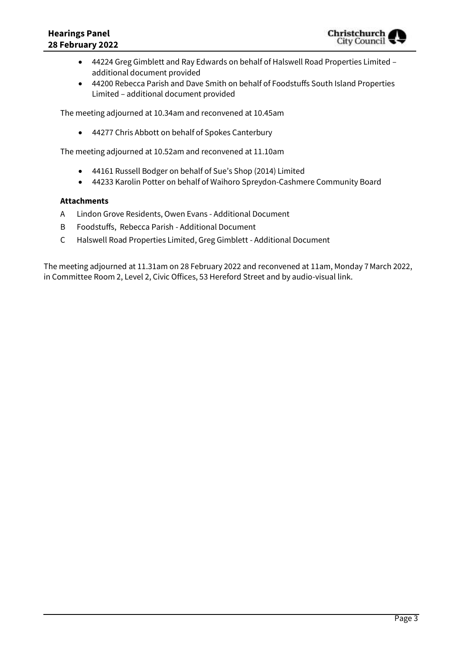- 44224 Greg Gimblett and Ray Edwards on behalf of Halswell Road Properties Limited additional document provided
- 44200 Rebecca Parish and Dave Smith on behalf of Foodstuffs South Island Properties Limited – additional document provided

The meeting adjourned at 10.34am and reconvened at 10.45am

44277 Chris Abbott on behalf of Spokes Canterbury

The meeting adjourned at 10.52am and reconvened at 11.10am

- 44161 Russell Bodger on behalf of Sue's Shop (2014) Limited
- 44233 Karolin Potter on behalf of Waihoro Spreydon-Cashmere Community Board

### **Attachments**

- A Lindon Grove Residents, Owen Evans Additional Document
- B Foodstuffs, Rebecca Parish Additional Document
- C Halswell Road Properties Limited, Greg Gimblett Additional Document

The meeting adjourned at 11.31am on 28 February 2022 and reconvened at 11am, Monday 7March 2022, in Committee Room 2, Level 2, Civic Offices, 53 Hereford Street and by audio-visual link.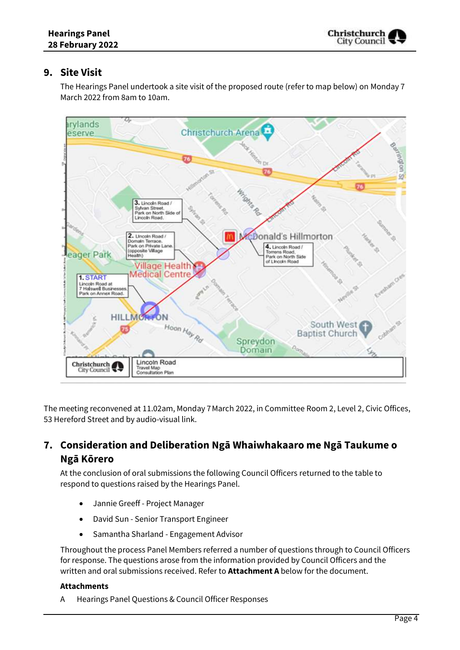# **9. Site Visit**

The Hearings Panel undertook a site visit of the proposed route (refer to map below) on Monday 7 March 2022 from 8am to 10am.



The meeting reconvened at 11.02am, Monday 7March 2022, in Committee Room 2, Level 2, Civic Offices, 53 Hereford Street and by audio-visual link.

# **7. Consideration and Deliberation Ngā Whaiwhakaaro me Ngā Taukume o Ngā Kōrero**

At the conclusion of oral submissions the following Council Officers returned to the table to respond to questions raised by the Hearings Panel.

- Jannie Greeff Project Manager
- David Sun Senior Transport Engineer
- Samantha Sharland Engagement Advisor

Throughout the process Panel Members referred a number of questions through to Council Officers for response. The questions arose from the information provided by Council Officers and the written and oral submissions received. Refer to **Attachment A** below for the document.

### **Attachments**

A Hearings Panel Questions & Council Officer Responses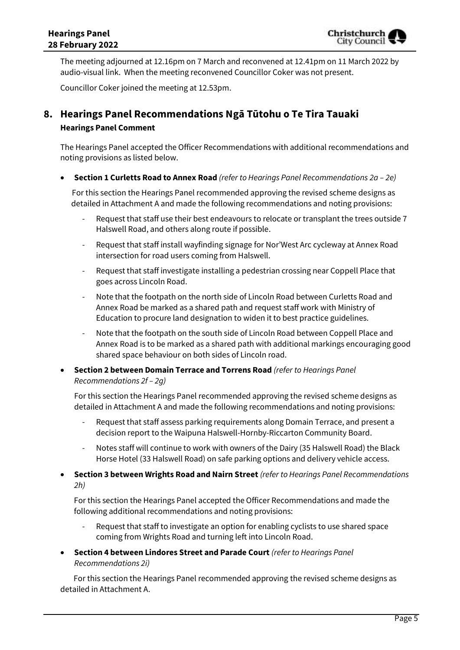The meeting adjourned at 12.16pm on 7 March and reconvened at 12.41pm on 11 March 2022 by audio-visual link. When the meeting reconvened Councillor Coker was not present.

Councillor Coker joined the meeting at 12.53pm.

# **8. Hearings Panel Recommendations Ngā Tūtohu o Te Tira Tauaki Hearings Panel Comment**

The Hearings Panel accepted the Officer Recommendations with additional recommendations and noting provisions as listed below.

**Section 1 Curletts Road to Annex Road** *(refer to Hearings Panel Recommendations 2a – 2e)*

 For this section the Hearings Panel recommended approving the revised scheme designs as detailed in Attachment A and made the following recommendations and noting provisions:

- Request that staff use their best endeavours to relocate or transplant the trees outside 7 Halswell Road, and others along route if possible.
- Request that staff install wayfinding signage for Nor'West Arc cycleway at Annex Road intersection for road users coming from Halswell.
- Request that staff investigate installing a pedestrian crossing near Coppell Place that goes across Lincoln Road.
- Note that the footpath on the north side of Lincoln Road between Curletts Road and Annex Road be marked as a shared path and request staff work with Ministry of Education to procure land designation to widen it to best practice guidelines.
- Note that the footpath on the south side of Lincoln Road between Coppell Place and Annex Road is to be marked as a shared path with additional markings encouraging good shared space behaviour on both sides of Lincoln road.
- **Section 2 between Domain Terrace and Torrens Road** *(refer to Hearings Panel Recommendations 2f – 2g)*

For this section the Hearings Panel recommended approving the revised scheme designs as detailed in Attachment A and made the following recommendations and noting provisions:

- Request that staff assess parking requirements along Domain Terrace, and present a decision report to the Waipuna Halswell-Hornby-Riccarton Community Board.
- Notes staff will continue to work with owners of the Dairy (35 Halswell Road) the Black Horse Hotel (33 Halswell Road) on safe parking options and delivery vehicle access.
- **Section 3 between Wrights Road and Nairn Street** *(refer to Hearings Panel Recommendations 2h)*

For this section the Hearings Panel accepted the Officer Recommendations and made the following additional recommendations and noting provisions:

- Request that staff to investigate an option for enabling cyclists to use shared space coming from Wrights Road and turning left into Lincoln Road.
- **Section 4 between Lindores Street and Parade Court** *(refer to Hearings Panel Recommendations 2i)*

 For this section the Hearings Panel recommended approving the revised scheme designs as detailed in Attachment A.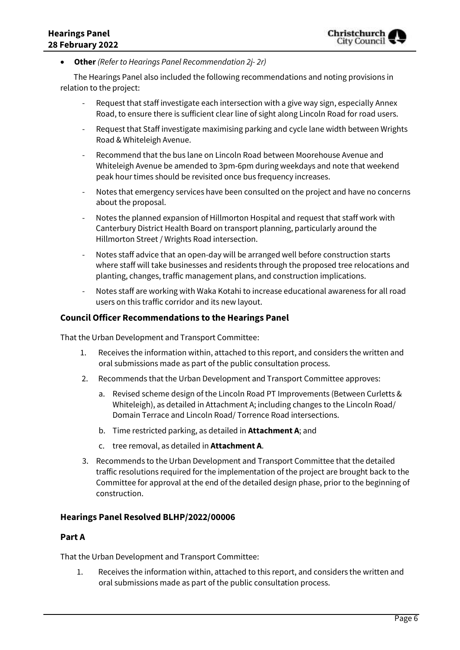**Other** *(Refer to Hearings Panel Recommendation 2j- 2r)*

 The Hearings Panel also included the following recommendations and noting provisions in relation to the project:

- Request that staff investigate each intersection with a give way sign, especially Annex Road, to ensure there is sufficient clear line of sight along Lincoln Road for road users.
- Request that Staff investigate maximising parking and cycle lane width between Wrights Road & Whiteleigh Avenue.
- Recommend that the bus lane on Lincoln Road between Moorehouse Avenue and Whiteleigh Avenue be amended to 3pm-6pm during weekdays and note that weekend peak hour times should be revisited once bus frequency increases.
- Notes that emergency services have been consulted on the project and have no concerns about the proposal.
- Notes the planned expansion of Hillmorton Hospital and request that staff work with Canterbury District Health Board on transport planning, particularly around the Hillmorton Street / Wrights Road intersection.
- Notes staff advice that an open-day will be arranged well before construction starts where staff will take businesses and residents through the proposed tree relocations and planting, changes, traffic management plans, and construction implications.
- Notes staff are working with Waka Kotahi to increase educational awareness for all road users on this traffic corridor and its new layout.

### **Council Officer Recommendations to the Hearings Panel**

That the Urban Development and Transport Committee:

- 1. Receives the information within, attached to this report, and considers the written and oral submissions made as part of the public consultation process.
- 2. Recommends that the Urban Development and Transport Committee approves:
	- a. Revised scheme design of the Lincoln Road PT Improvements (Between Curletts & Whiteleigh), as detailed in Attachment A; including changes to the Lincoln Road/ Domain Terrace and Lincoln Road/ Torrence Road intersections.
	- b. Time restricted parking, as detailed in **Attachment A**; and
	- c. tree removal, as detailed in **Attachment A**.
- 3. Recommends to the Urban Development and Transport Committee that the detailed traffic resolutions required for the implementation of the project are brought back to the Committee for approval at the end of the detailed design phase, prior to the beginning of construction.

### **Hearings Panel Resolved BLHP/2022/00006**

#### **Part A**

That the Urban Development and Transport Committee:

1. Receives the information within, attached to this report, and considers the written and oral submissions made as part of the public consultation process.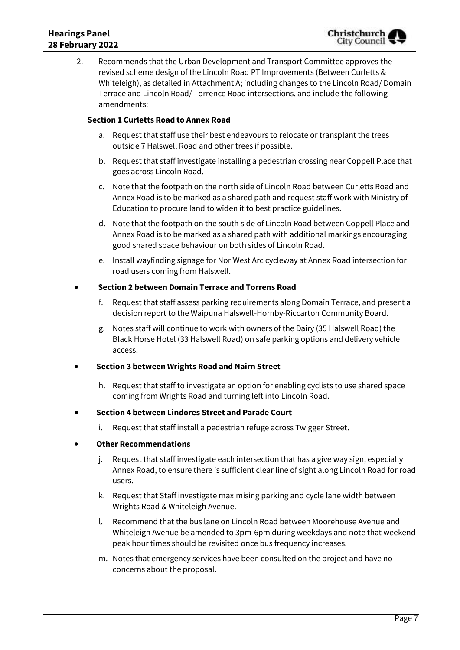2. Recommends that the Urban Development and Transport Committee approves the revised scheme design of the Lincoln Road PT Improvements (Between Curletts & Whiteleigh), as detailed in Attachment A; including changes to the Lincoln Road/ Domain Terrace and Lincoln Road/ Torrence Road intersections, and include the following amendments:

### **Section 1 Curletts Road to Annex Road**

- a. Request that staff use their best endeavours to relocate or transplant the trees outside 7 Halswell Road and other trees if possible.
- b. Request that staff investigate installing a pedestrian crossing near Coppell Place that goes across Lincoln Road.
- c. Note that the footpath on the north side of Lincoln Road between Curletts Road and Annex Road is to be marked as a shared path and request staff work with Ministry of Education to procure land to widen it to best practice guidelines.
- d. Note that the footpath on the south side of Lincoln Road between Coppell Place and Annex Road is to be marked as a shared path with additional markings encouraging good shared space behaviour on both sides of Lincoln Road.
- e. Install wayfinding signage for Nor'West Arc cycleway at Annex Road intersection for road users coming from Halswell.

### **Section 2 between Domain Terrace and Torrens Road**

- f. Request that staff assess parking requirements along Domain Terrace, and present a decision report to the Waipuna Halswell-Hornby-Riccarton Community Board.
- g. Notes staff will continue to work with owners of the Dairy (35 Halswell Road) the Black Horse Hotel (33 Halswell Road) on safe parking options and delivery vehicle access.

### **Section 3 between Wrights Road and Nairn Street**

h. Request that staff to investigate an option for enabling cyclists to use shared space coming from Wrights Road and turning left into Lincoln Road.

### **Section 4 between Lindores Street and Parade Court**

i. Request that staff install a pedestrian refuge across Twigger Street.

### **Other Recommendations**

- j. Request that staff investigate each intersection that has a give way sign, especially Annex Road, to ensure there is sufficient clear line of sight along Lincoln Road for road users.
- k. Request that Staff investigate maximising parking and cycle lane width between Wrights Road & Whiteleigh Avenue.
- l. Recommend that the bus lane on Lincoln Road between Moorehouse Avenue and Whiteleigh Avenue be amended to 3pm-6pm during weekdays and note that weekend peak hour times should be revisited once bus frequency increases.
- m. Notes that emergency services have been consulted on the project and have no concerns about the proposal.